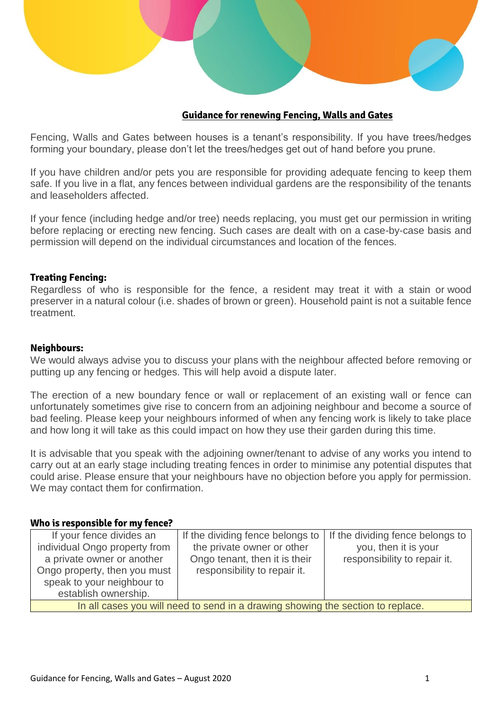

# **Guidance for renewing Fencing, Walls and Gates**

Fencing, Walls and Gates between houses is a tenant's responsibility. If you have trees/hedges forming your boundary, please don't let the trees/hedges get out of hand before you prune.

If you have children and/or pets you are responsible for providing adequate fencing to keep them safe. If you live in a flat, any fences between individual gardens are the responsibility of the tenants and leaseholders affected.

If your fence (including hedge and/or tree) needs replacing, you must get our permission in writing before replacing or erecting new fencing. Such cases are dealt with on a case-by-case basis and permission will depend on the individual circumstances and location of the fences.

#### **Treating Fencing:**

Regardless of who is responsible for the fence, a resident may treat it with a stain or wood preserver in a natural colour (i.e. shades of brown or green). Household paint is not a suitable fence treatment.

#### **Neighbours:**

We would always advise you to discuss your plans with the neighbour affected before removing or putting up any fencing or hedges. This will help avoid a dispute later.

The erection of a new boundary fence or wall or replacement of an existing wall or fence can unfortunately sometimes give rise to concern from an adjoining neighbour and become a source of bad feeling. Please keep your neighbours informed of when any fencing work is likely to take place and how long it will take as this could impact on how they use their garden during this time.

It is advisable that you speak with the adjoining owner/tenant to advise of any works you intend to carry out at an early stage including treating fences in order to minimise any potential disputes that could arise. Please ensure that your neighbours have no objection before you apply for permission. We may contact them for confirmation.

#### **Who is responsible for my fence?**

| If your fence divides an                                                        | If the dividing fence belongs to | If the dividing fence belongs to |
|---------------------------------------------------------------------------------|----------------------------------|----------------------------------|
| individual Ongo property from                                                   | the private owner or other       | you, then it is your             |
| a private owner or another                                                      | Ongo tenant, then it is their    | responsibility to repair it.     |
| Ongo property, then you must                                                    | responsibility to repair it.     |                                  |
| speak to your neighbour to                                                      |                                  |                                  |
| establish ownership.                                                            |                                  |                                  |
| In all cases you will need to send in a drawing showing the section to replace. |                                  |                                  |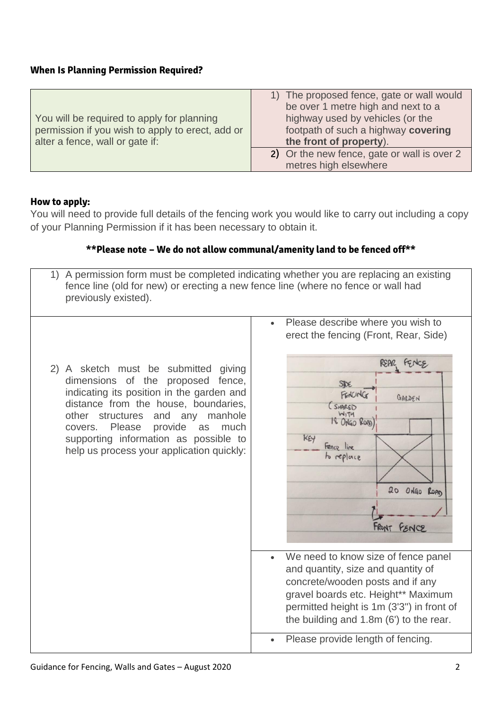# **When Is Planning Permission Required?**

| You will be required to apply for planning<br>permission if you wish to apply to erect, add or<br>alter a fence, wall or gate if: | 1) The proposed fence, gate or wall would<br>be over 1 metre high and next to a<br>highway used by vehicles (or the<br>footpath of such a highway covering<br>the front of property). |
|-----------------------------------------------------------------------------------------------------------------------------------|---------------------------------------------------------------------------------------------------------------------------------------------------------------------------------------|
|                                                                                                                                   | 2) Or the new fence, gate or wall is over 2<br>metres high elsewhere                                                                                                                  |

# **How to apply:**

You will need to provide full details of the fencing work you would like to carry out including a copy of your Planning Permission if it has been necessary to obtain it.

# **\*\*Please note – We do not allow communal/amenity land to be fenced off\*\***

1) A permission form must be completed indicating whether you are replacing an existing

|                                                                                                                                                                                                                                                                                                                                           | Please describe where you wish to<br>$\bullet$<br>erect the fencing (Front, Rear, Side)                                                                                                                                                                                                                    |
|-------------------------------------------------------------------------------------------------------------------------------------------------------------------------------------------------------------------------------------------------------------------------------------------------------------------------------------------|------------------------------------------------------------------------------------------------------------------------------------------------------------------------------------------------------------------------------------------------------------------------------------------------------------|
| 2) A sketch must be submitted giving<br>dimensions of the proposed fence,<br>indicating its position in the garden and<br>distance from the house, boundaries,<br>structures<br>and any manhole<br>other<br>provide<br>covers. Please<br>as<br>much<br>supporting information as possible to<br>help us process your application quickly: | FENCE<br>REAR<br>SIDE<br>FENCING<br>GARDEN<br>(SHARED<br>$W_1T1$<br>18 ONGO ROAD<br>KEY<br>Fence line<br>to replace<br>20 ONGO ROAD<br>FRONT FENCE<br>We need to know size of fence panel<br>and quantity, size and quantity of<br>concrete/wooden posts and if any<br>gravel boards etc. Height** Maximum |
|                                                                                                                                                                                                                                                                                                                                           | permitted height is 1m (3'3") in front of<br>the building and 1.8m (6') to the rear.                                                                                                                                                                                                                       |
|                                                                                                                                                                                                                                                                                                                                           | Please provide length of fencing.<br>$\bullet$                                                                                                                                                                                                                                                             |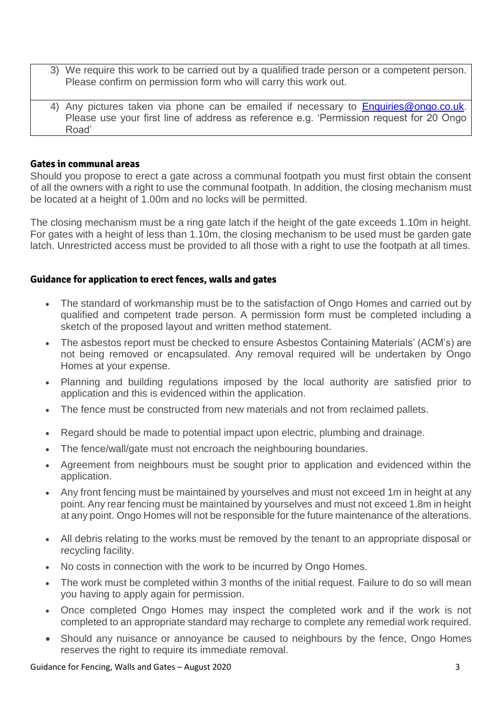- 3) We require this work to be carried out by a qualified trade person or a competent person. Please confirm on permission form who will carry this work out.
- 4) Any pictures taken via phone can be emailed if necessary to [Enquiries@ongo.co.uk.](mailto:Enquiries@ongo.co.uk) Please use your first line of address as reference e.g. 'Permission request for 20 Ongo Road'

## **Gates in communal areas**

Should you propose to erect a gate across a communal footpath you must first obtain the consent of all the owners with a right to use the communal footpath. In addition, the closing mechanism must be located at a height of 1.00m and no locks will be permitted.

The closing mechanism must be a ring gate latch if the height of the gate exceeds 1.10m in height. For gates with a height of less than 1.10m, the closing mechanism to be used must be garden gate latch. Unrestricted access must be provided to all those with a right to use the footpath at all times.

## **Guidance for application to erect fences, walls and gates**

- The standard of workmanship must be to the satisfaction of Ongo Homes and carried out by qualified and competent trade person. A permission form must be completed including a sketch of the proposed layout and written method statement.
- The asbestos report must be checked to ensure Asbestos Containing Materials' (ACM's) are not being removed or encapsulated. Any removal required will be undertaken by Ongo Homes at your expense.
- Planning and building regulations imposed by the local authority are satisfied prior to application and this is evidenced within the application.
- The fence must be constructed from new materials and not from reclaimed pallets.
- Regard should be made to potential impact upon electric, plumbing and drainage.
- The fence/wall/gate must not encroach the neighbouring boundaries.
- Agreement from neighbours must be sought prior to application and evidenced within the application.
- Any front fencing must be maintained by yourselves and must not exceed 1m in height at any point. Any rear fencing must be maintained by yourselves and must not exceed 1.8m in height at any point. Ongo Homes will not be responsible for the future maintenance of the alterations.
- All debris relating to the works must be removed by the tenant to an appropriate disposal or recycling facility.
- No costs in connection with the work to be incurred by Ongo Homes.
- The work must be completed within 3 months of the initial request. Failure to do so will mean you having to apply again for permission.
- Once completed Ongo Homes may inspect the completed work and if the work is not completed to an appropriate standard may recharge to complete any remedial work required.
- Should any nuisance or annoyance be caused to neighbours by the fence, Ongo Homes reserves the right to require its immediate removal.